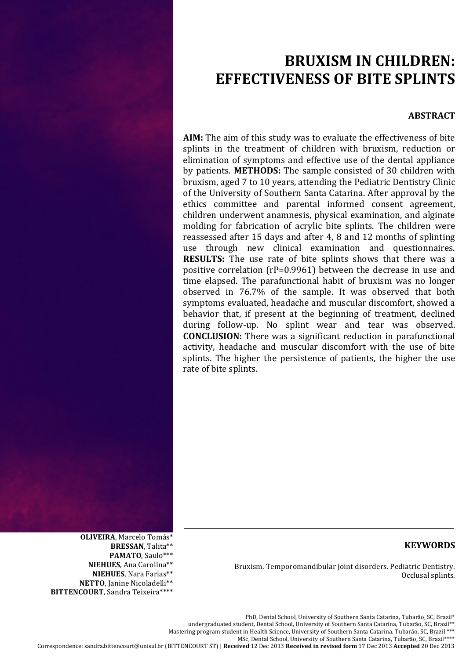# **BRUXISM'IN'CHILDREN:' EFFECTIVENESS OF BITE SPLINTS**

# **ABSTRACT**

**AIM:** The aim of this study was to evaluate the effectiveness of bite splints in the treatment of children with bruxism, reduction or elimination of symptoms and effective use of the dental appliance by patients. **METHODS:** The sample consisted of 30 children with bruxism, aged 7 to 10 years, attending the Pediatric Dentistry Clinic of the University of Southern Santa Catarina. After approval by the ethics committee and parental informed consent agreement, children underwent anamnesis, physical examination, and alginate molding for fabrication of acrylic bite splints. The children were reassessed after 15 days and after 4, 8 and 12 months of splinting use through new clinical examination and questionnaires. **RESULTS:** The use rate of bite splints shows that there was a positive correlation ( $rP=0.9961$ ) between the decrease in use and time elapsed. The parafunctional habit of bruxism was no longer observed in  $76.7\%$  of the sample. It was observed that both symptoms evaluated, headache and muscular discomfort, showed a behavior that, if present at the beginning of treatment, declined during follow-up. No splint wear and tear was observed. **CONCLUSION:** There was a significant reduction in parafunctional activity, headache and muscular discomfort with the use of bite splints. The higher the persistence of patients, the higher the use rate of bite splints.

# **KEYWORDS**

Bruxism. Temporomandibular joint disorders. Pediatric Dentistry. Occlusal splints.

**OLIVEIRA**,%Marcelo Tomás\* **BRESSAN**, Talita\*\* PAMATO, Saulo\*\*\* **NIEHUES**, Ana Carolina\*\* **NIEHUES**, Nara Farias\*\* NETTO, Janine Nicoladelli\*\*

**BITTENCOURT**, Sandra Teixeira\*\*\*\*

PhD, Dental School, University of Southern Santa Catarina, Tubarão, SC, Brazil\*

undergraduated student, Dental School, University of Southern Santa Catarina, Tubarão, SC, Brazil\*\*

Mastering program student in Health Science, University of Southern Santa Catarina, Tubarão, SC, Brazil \*\*\*

MSc, Dental School, University of Southern Santa Catarina, Tubarão, SC, Brazil\*\*\*\*

Correspondence:%sandra.bittencourt@unisul.br (BITTENCOURT%ST)%|%**Received** 12 Dec 2013 **Received'in'revised'form** 17 Dec 2013 **Accepted** 20 Dec 2013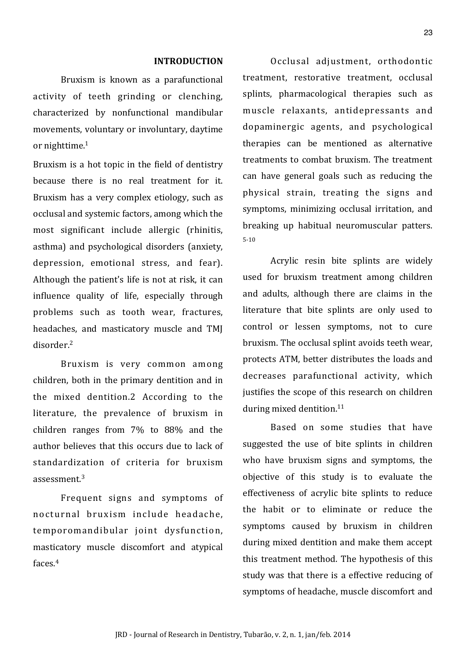## **INTRODUCTION**

Bruxism is known as a parafunctional activity of teeth grinding or clenching, characterized by nonfunctional mandibular movements, voluntary or involuntary, daytime or nighttime. $1$ 

Bruxism is a hot topic in the field of dentistry because there is no real treatment for it. Bruxism has a very complex etiology, such as occlusal and systemic factors, among which the most significant include allergic (rhinitis, asthma) and psychological disorders (anxiety, depression, emotional stress, and fear). Although the patient's life is not at risk, it can influence quality of life, especially through problems such as tooth wear, fractures, headaches, and masticatory muscle and TMJ disorder.<sup>2</sup>

Bruxism is very common among children, both in the primary dentition and in the mixed dentition.2 According to the literature, the prevalence of bruxism in children ranges from  $7\%$  to  $88\%$  and the author believes that this occurs due to lack of standardization of criteria for bruxism  $assessment.<sup>3</sup>$ 

Frequent signs and symptoms of nocturnal bruxism include headache. temporomandibular joint dysfunction, masticatory muscle discomfort and atypical faces. $4$ 

Occlusal adjustment, orthodontic treatment, restorative treatment, occlusal splints, pharmacological therapies such as muscle relaxants, antidepressants and dopaminergic agents, and psychological therapies can be mentioned as alternative treatments to combat bruxism. The treatment can have general goals such as reducing the physical strain, treating the signs and symptoms, minimizing occlusal irritation, and breaking up habitual neuromuscular patters.  $5-10$ 

Acrylic resin bite splints are widely used for bruxism treatment among children and adults, although there are claims in the literature that bite splints are only used to control or lessen symptoms, not to cure bruxism. The occlusal splint avoids teeth wear, protects ATM, better distributes the loads and decreases parafunctional activity, which justifies the scope of this research on children during mixed dentition.<sup>11</sup>

Based on some studies that have suggested the use of bite splints in children who have bruxism signs and symptoms, the objective of this study is to evaluate the effectiveness of acrylic bite splints to reduce the habit or to eliminate or reduce the symptoms caused by bruxism in children during mixed dentition and make them accept this treatment method. The hypothesis of this study was that there is a effective reducing of symptoms of headache, muscle discomfort and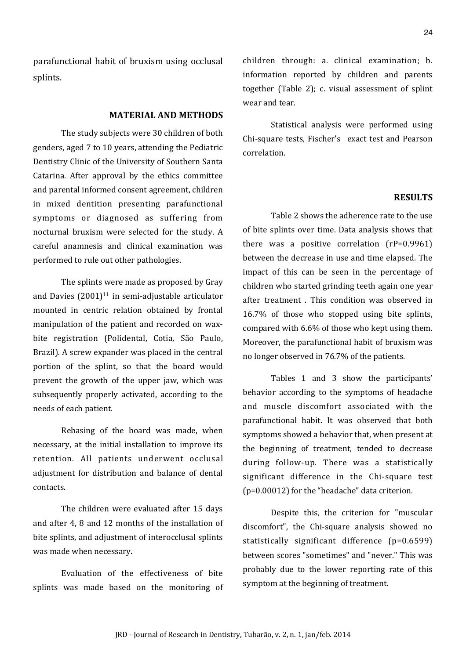parafunctional habit of bruxism using occlusal splints.

#### **MATERIAL-AND-METHODS**

The study subjects were 30 children of both genders, aged 7 to 10 years, attending the Pediatric Dentistry Clinic of the University of Southern Santa Catarina. After approval by the ethics committee and parental informed consent agreement, children in mixed dentition presenting parafunctional symptoms or diagnosed as suffering from nocturnal bruxism were selected for the study. A careful anamnesis and clinical examination was performed to rule out other pathologies.

The splints were made as proposed by Gray and Davies  $(2001)^{11}$  in semi-adjustable articulator mounted in centric relation obtained by frontal manipulation of the patient and recorded on waxbite registration (Polidental, Cotia, São Paulo, Brazil). A screw expander was placed in the central portion of the splint, so that the board would prevent the growth of the upper jaw, which was subsequently properly activated, according to the needs of each patient.

Rebasing of the board was made, when necessary, at the initial installation to improve its retention. All patients underwent occlusal adjustment for distribution and balance of dental contacts.

The children were evaluated after 15 days and after 4, 8 and 12 months of the installation of bite splints, and adjustment of interocclusal splints was made when necessary.

Evaluation of the effectiveness of bite splints was made based on the monitoring of children through: a. clinical examination; b. information reported by children and parents together (Table 2); c. visual assessment of splint wear and tear.

Statistical analysis were performed using Chi-square tests, Fischer's exact test and Pearson correlation.

## **RESULTS**

Table 2 shows the adherence rate to the use of bite splints over time. Data analysis shows that there was a positive correlation  $(rP=0.9961)$ between the decrease in use and time elapsed. The impact of this can be seen in the percentage of children who started grinding teeth again one year after treatment . This condition was observed in  $16.7\%$  of those who stopped using bite splints, compared with 6.6% of those who kept using them. Moreover, the parafunctional habit of bruxism was no longer observed in 76.7% of the patients.

Tables 1 and 3 show the participants' behavior according to the symptoms of headache and muscle discomfort associated with the parafunctional habit. It was observed that both symptoms showed a behavior that, when present at the beginning of treatment, tended to decrease during follow-up. There was a statistically significant difference in the Chi-square test ( $p=0.00012$ ) for the "headache" data criterion.

Despite this, the criterion for "muscular discomfort", the Chi-square analysis showed no statistically significant difference  $(p=0.6599)$ between scores "sometimes" and "never." This was probably due to the lower reporting rate of this symptom at the beginning of treatment.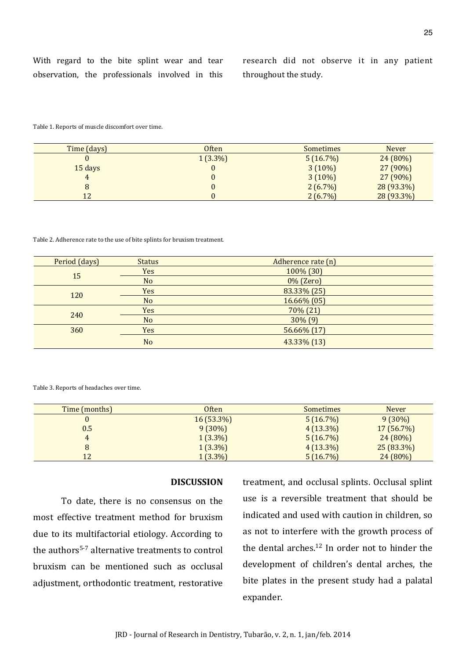research did not observe it in any patient throughout the study.

Table 1. Reports of muscle discomfort over time.

| Time (days) | <b>Often</b> | <b>Sometimes</b> | <b>Never</b> |
|-------------|--------------|------------------|--------------|
|             | $1(3.3\%)$   | 5(16.7%)         | $24(80\%)$   |
| 15 days     |              | $3(10\%)$        | $27(90\%)$   |
|             |              | $3(10\%)$        | $27(90\%)$   |
| 8           |              | $2(6.7\%)$       | 28 (93.3%)   |
| 12          |              | $2(6.7\%)$       | 28 (93.3%)   |

Table 2. Adherence rate to the use of bite splints for bruxism treatment.

| Period (days) | <b>Status</b>  | Adherence rate (n) |
|---------------|----------------|--------------------|
| 15            | Yes            | 100% (30)          |
|               | N <sub>o</sub> | 0% (Zero)          |
| 120           | Yes            | 83.33% (25)        |
|               | N <sub>o</sub> | 16.66% (05)        |
| 240           | Yes            | 70% (21)           |
|               | N <sub>o</sub> | $30\%$ $(9)$       |
| 360           | Yes            | 56.66% (17)        |
|               | N <sub>o</sub> | 43.33% (13)        |

Table 3. Reports of headaches over time.

| Time (months) | <b>Often</b> | <b>Sometimes</b> | <b>Never</b> |
|---------------|--------------|------------------|--------------|
|               | $16(53.3\%)$ | 5(16.7%)         | $9(30\%)$    |
| 0.5           | $9(30\%)$    | $4(13.3\%)$      | $17(56.7\%)$ |
| 4             | $1(3.3\%)$   | 5(16.7%)         | $24(80\%)$   |
|               | $1(3.3\%)$   | $4(13.3\%)$      | $25(83.3\%)$ |
| 12            | $1(3.3\%)$   | 5(16.7%)         | 24 (80%)     |

# **DISCUSSION**

To date, there is no consensus on the most effective treatment method for bruxism due to its multifactorial etiology. According to the authors<sup>5-7</sup> alternative treatments to control bruxism can be mentioned such as occlusal adjustment, orthodontic treatment, restorative

treatment, and occlusal splints. Occlusal splint use is a reversible treatment that should be indicated and used with caution in children, so as not to interfere with the growth process of the dental arches. $12$  In order not to hinder the development of children's dental arches, the bite plates in the present study had a palatal expander.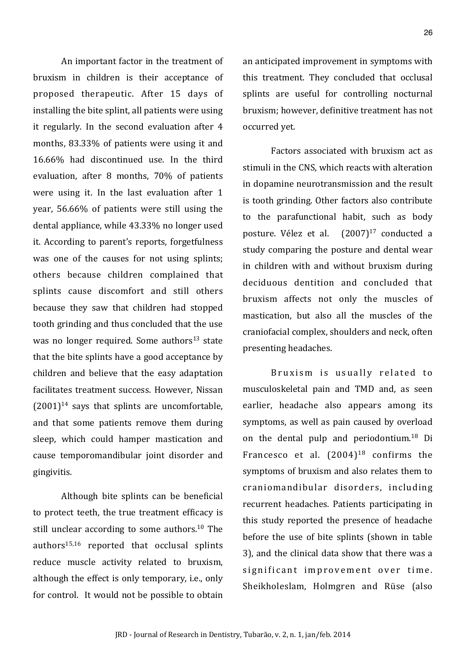An important factor in the treatment of bruxism in children is their acceptance of proposed therapeutic. After 15 days of installing the bite splint, all patients were using it regularly. In the second evaluation after  $4$ months, 83.33% of patients were using it and  $16.66\%$  had discontinued use. In the third evaluation, after 8 months, 70% of patients were using it. In the last evaluation after 1 year, 56.66% of patients were still using the dental appliance, while 43.33% no longer used it. According to parent's reports, forgetfulness was one of the causes for not using splints; others because children complained that splints cause discomfort and still others because they saw that children had stopped tooth grinding and thus concluded that the use was no longer required. Some authors<sup>13</sup> state that the bite splints have a good acceptance by children and believe that the easy adaptation facilitates treatment success. However, Nissan  $(2001)^{14}$  says that splints are uncomfortable, and that some patients remove them during sleep, which could hamper mastication and cause temporomandibular joint disorder and gingivitis.

Although bite splints can be beneficial to protect teeth, the true treatment efficacy is still unclear according to some authors.<sup>10</sup> The authors $15,16$  reported that occlusal splints reduce muscle activity related to bruxism, although the effect is only temporary, i.e., only for control. It would not be possible to obtain an anticipated improvement in symptoms with this treatment. They concluded that occlusal splints are useful for controlling nocturnal bruxism; however, definitive treatment has not occurred vet.

Factors associated with bruxism act as stimuli in the CNS, which reacts with alteration in dopamine neurotransmission and the result is tooth grinding. Other factors also contribute to the parafunctional habit, such as body posture. Vélez et al.  $(2007)^{17}$  conducted a study comparing the posture and dental wear in children with and without bruxism during deciduous dentition and concluded that bruxism affects not only the muscles of mastication, but also all the muscles of the craniofacial complex, shoulders and neck, often presenting headaches.

Bruxism is usually related to musculoskeletal pain and TMD and, as seen earlier, headache also appears among its symptoms, as well as pain caused by overload on the dental pulp and periodontium.<sup>18</sup> Di Francesco et al.  $(2004)^{18}$  confirms the symptoms of bruxism and also relates them to craniomandibular disorders, including recurrent headaches. Patients participating in this study reported the presence of headache before the use of bite splints (shown in table 3), and the clinical data show that there was a significant improvement over time. Sheikholeslam, Holmgren and Rüse (also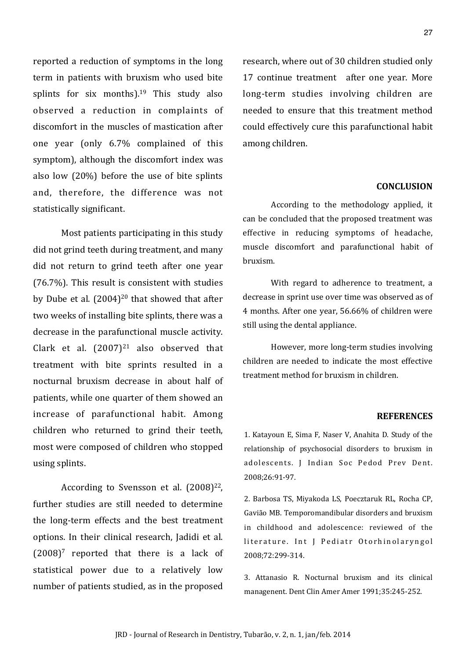reported a reduction of symptoms in the long term in patients with bruxism who used bite splints for six months).<sup>19</sup> This study also observed a reduction in complaints of discomfort in the muscles of mastication after one year (only 6.7% complained of this symptom), although the discomfort index was also low  $(20%)$  before the use of bite splints and, therefore, the difference was not statistically significant.

Most patients participating in this study did not grind teeth during treatment, and many did not return to grind teeth after one year  $(76.7%)$ . This result is consistent with studies by Dube et al.  $(2004)^{20}$  that showed that after two weeks of installing bite splints, there was a decrease in the parafunctional muscle activity. Clark et al.  $(2007)^{21}$  also observed that treatment with bite sprints resulted in a nocturnal bruxism decrease in about half of patients, while one quarter of them showed an increase of parafunctional habit. Among children who returned to grind their teeth, most were composed of children who stopped using splints.

According to Svensson et al.  $(2008)^{22}$ . further studies are still needed to determine the long-term effects and the best treatment options. In their clinical research, Iadidi et al.  $(2008)^7$  reported that there is a lack of statistical power due to a relatively low number of patients studied, as in the proposed research, where out of 30 children studied only 17 continue treatment after one year. More long-term studies involving children are needed to ensure that this treatment method could effectively cure this parafunctional habit among children.

## **CONCLUSION**

According to the methodology applied, it can be concluded that the proposed treatment was effective in reducing symptoms of headache, muscle discomfort and parafunctional habit of bruxism.

With regard to adherence to treatment, a decrease in sprint use over time was observed as of 4 months. After one year, 56.66% of children were still using the dental appliance.

However, more long-term studies involving children are needed to indicate the most effective treatment method for bruxism in children.

#### **REFERENCES**

1. Katayoun E, Sima F, Naser V, Anahita D. Study of the relationship of psychosocial disorders to bruxism in adolescents. J Indian Soc Pedod Prev Dent. 2008;26:91-97.

2. Barbosa TS, Miyakoda LS, Poecztaruk RL, Rocha CP, Gavião MB. Temporomandibular disorders and bruxism in childhood and adolescence: reviewed of the literature. Int J Pediatr Otorhinolaryngol 2008;72:299-314.

3. Attanasio R. Nocturnal bruxism and its clinical managenent. Dent Clin Amer Amer 1991:35:245-252.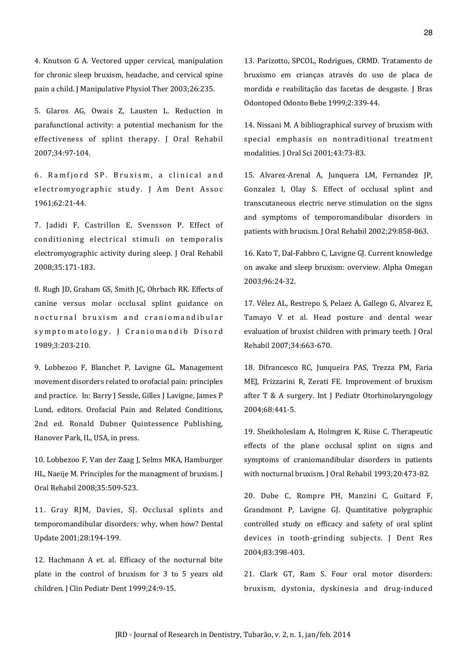4. Knutson G A. Vectored upper cervical, manipulation for chronic sleep bruxism, headache, and cervical spine pain a child. J Manipulative Physiol Ther 2003;26:235.

5. Glaros AG, Owais Z, Lausten L. Reduction in parafunctional activity: a potential mechanism for the effectiveness of splint therapy. I Oral Rehabil 2007;34:97-104.

6. Ramfjord SP. Bruxism, a clinical and electromyographic study. J Am Dent Assoc 1961:62:21-44.

7. Jadidi F, Castrillon E, Svensson P. Effect of conditioning electrical stimuli on temporalis electromyographic activity during sleep. J Oral Rehabil 2008;35:171-183.

8. Rugh ID, Graham GS, Smith IC, Ohrbach RK, Effects of canine versus molar occlusal splint guidance on nocturnal bruxism and craniomandibular symptomatology. [ Craniomandib Disord 1989;3:203-210.

9. Lobbezoo F, Blanchet P, Lavigne GL. Management movement disorders related to orofacial pain: principles and practice. In: Barry J Sessle, Gilles J Lavigne, James P Lund, editors. Orofacial Pain and Related Conditions, 2nd ed. Ronald Dubner Quintessence Publishing, Hanover Park, IL, USA, in press.

10. Lobbezoo F, Van der Zaag J, Selms MKA, Hamburger HL, Naeije M. Principles for the managment of bruxism. J Oral Rehabil 2008;35:509-523.

11. Gray RJM, Davies, SJ. Occlusal splints and temporomandibular disorders: why, when how? Dental Update 2001;28:194-199.

12. Hachmann A et. al. Efficacy of the nocturnal bite plate in the control of bruxism for 3 to 5 years old children. J Clin Pediatr Dent 1999;24:9-15.

13. Parizotto, SPCOL, Rodrigues, CRMD. Tratamento de bruxismo em crianças através do uso de placa de mordida e reabilitação das facetas de desgaste. J Bras Odontoped Odonto Bebe 1999;2:339-44.

14. Nissani M. A bibliographical survey of bruxism with special emphasis on nontraditional treatment modalities. [ Oral Sci 2001;43:73-83.

15. Alvarez-Arenal A, Junquera LM, Fernandez JP, Gonzalez I, Olay S. Effect of occlusal splint and transcutaneous electric nerve stimulation on the signs and symptoms of temporomandibular disorders in patients with bruxism. J Oral Rehabil 2002;29:858-863.

16. Kato T, Dal-Fabbro C, Lavigne GJ. Current knowledge on awake and sleep bruxism: overview. Alpha Omegan 2003:96:24-32.

17. Vélez AL, Restrepo S, Pelaez A, Gallego G, Alvarez E, Tamayo V et al. Head posture and dental wear evaluation of bruxist children with primary teeth. J Oral Rehabil 2007;34:663-670.

18. Difrancesco RC, Junqueira PAS, Trezza PM, Faria MEI, Frizzarini R, Zerati FE. Improvement of bruxism after T & A surgery. Int J Pediatr Otorhinolaryngology 2004:68:441-5.

19. Sheikholeslam A, Holmgren K, Riise C. Therapeutic effects of the plane occlusal splint on signs and symptoms of craniomandibular disorders in patients with nocturnal bruxism. J Oral Rehabil 1993;20:473-82.

20. Dube C, Rompre PH, Manzini C, Guitard F, Grandmont P, Lavigne GJ. Quantitative polygraphic controlled study on efficacy and safety of oral splint devices in tooth-grinding subjects. J Dent Res 2004;83:398-403.

21. Clark GT, Ram S. Four oral motor disorders: bruxism, dystonia, dyskinesia and drug-induced